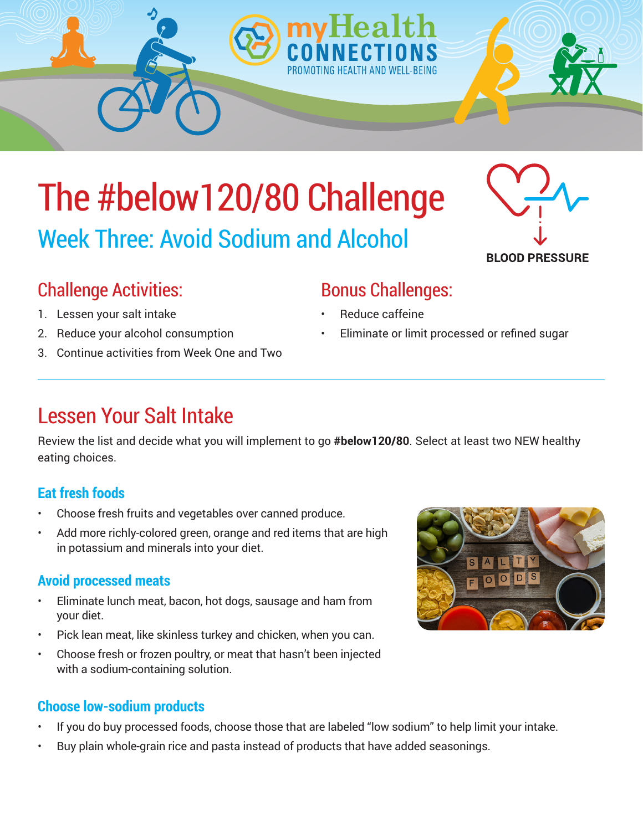# The #below120/80 Challenge Week Three: Avoid Sodium and Alcohol

### Challenge Activities:

- 1. Lessen your salt intake
- 2. Reduce your alcohol consumption
- 3. Continue activities from Week One and Two

### Lessen Your Salt Intake

Review the list and decide what you will implement to go **#below120/80**. Select at least two NEW healthy eating choices.

### **Eat fresh foods**

- Choose fresh fruits and vegetables over canned produce.
- Add more richly-colored green, orange and red items that are high in potassium and minerals into your diet.

#### **Avoid processed meats**

- Eliminate lunch meat, bacon, hot dogs, sausage and ham from your diet.
- Pick lean meat, like skinless turkey and chicken, when you can.
- Choose fresh or frozen poultry, or meat that hasn't been injected with a sodium-containing solution.

#### **Choose low-sodium products**

- If you do buy processed foods, choose those that are labeled "low sodium" to help limit your intake.
- Buy plain whole-grain rice and pasta instead of products that have added seasonings.

### Bonus Challenges:

- Reduce caffeine
- Eliminate or limit processed or refined sugar



ALITY

FOODS

 $\overline{\mathbf{s}}$ 





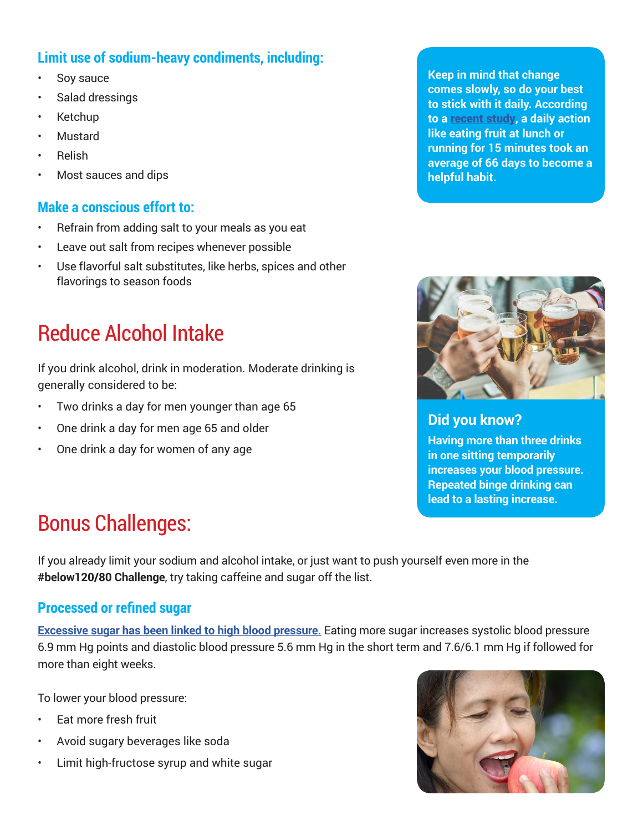#### **Limit use of sodium-heavy condiments, including:**

- Soy sauce
- Salad dressings
- Ketchup
- Mustard
- Relish
- Most sauces and dips

#### **Make a conscious effort to:**

- Refrain from adding salt to your meals as you eat
- Leave out salt from recipes whenever possible
- Use flavorful salt substitutes, like herbs, spices and other flavorings to season foods

### Reduce Alcohol Intake

If you drink alcohol, drink in moderation. Moderate drinking is generally considered to be:

- Two drinks a day for men younger than age 65
- One drink a day for men age 65 and older
- One drink a day for women of any age

**Keep in mind that change comes slowly, so do your best to stick with it daily. According to a** [recent study](http://www.spring.org.uk/2009/09/how-long-to-form-a-habit.php)**, a daily action like eating fruit at lunch or running for 15 minutes took an average of 66 days to become a helpful habit.** 



**Did you know?** 

**Having more than three drinks in one sitting temporarily increases your blood pressure. Repeated binge drinking can lead to a lasting increase.**

## Bonus Challenges:

If you already limit your sodium and alcohol intake, or just want to push yourself even more in the **#below120/80 Challenge**, try taking caffeine and sugar off the list.

#### **Processed or refined sugar**

**[Excessive sugar has been linked to high blood pressure.](https://openheart.bmj.com/content/1/1/e000167)** Eating more sugar increases systolic blood pressure 6.9 mm Hg points and diastolic blood pressure 5.6 mm Hg in the short term and 7.6/6.1 mm Hg if followed for more than eight weeks.

To lower your blood pressure:

- Eat more fresh fruit
- Avoid sugary beverages like soda
- Limit high-fructose syrup and white sugar